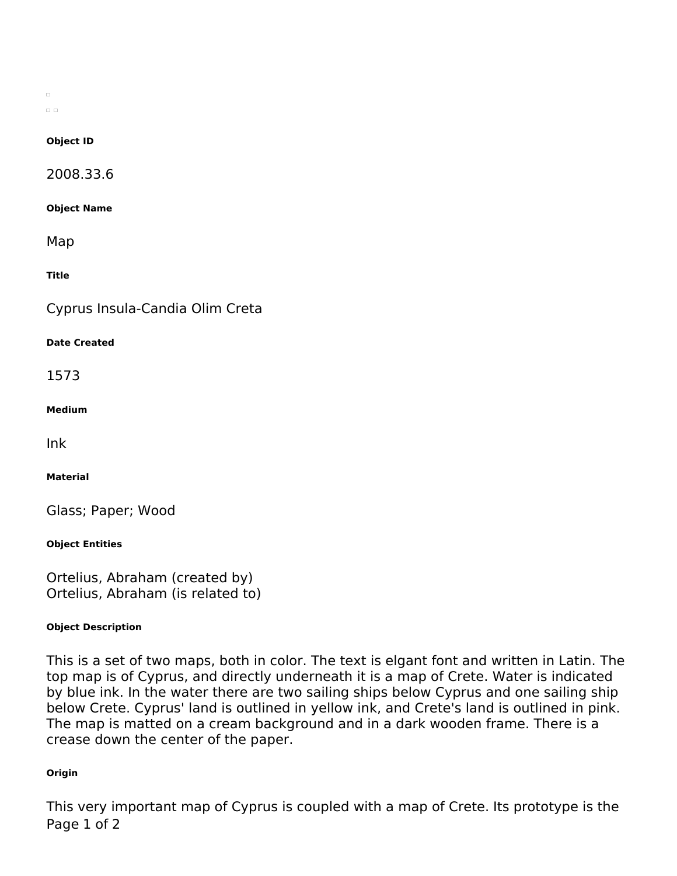$\Box$  $\Box$ 

#### **Object ID**

2008.33.6

**Object Name**

Map

**Title**

Cyprus Insula-Candia Olim Creta

#### **Date Created**

1573

**Medium**

Ink

**Material**

Glass; Paper; Wood

**Object Entities**

Ortelius, Abraham (created by) Ortelius, Abraham (is related to)

## **Object Description**

This is a set of two maps, both in color. The text is elgant font and written in Latin. The top map is of Cyprus, and directly underneath it is a map of Crete. Water is indicated by blue ink. In the water there are two sailing ships below Cyprus and one sailing ship below Crete. Cyprus' land is outlined in yellow ink, and Crete's land is outlined in pink. The map is matted on a cream background and in a dark wooden frame. There is a crease down the center of the paper.

## **Origin**

This very important map of Cyprus is coupled with a map of Crete. Its prototype is the Page 1 of 2